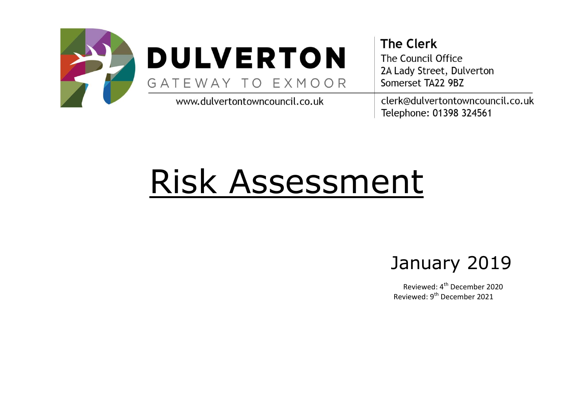

## **DULVERTON** GATEWAY TO EXMOOR

www.dulvertontowncouncil.co.uk

**The Clerk** The Council Office 2A Lady Street, Dulverton Somerset TA22 9BZ clerk@dulvertontowncouncil.co.uk Telephone: 01398 324561

# Risk Assessment

## January 2019

Reviewed: 4<sup>th</sup> December 2020 Reviewed: 9th December 2021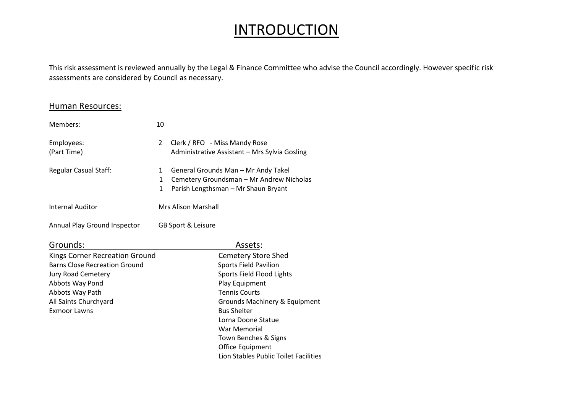### **INTRODUCTION**

This risk assessment is reviewed annually by the Legal & Finance Committee who advise the Council accordingly. However specific risk assessments are considered by Council as necessary.

Lion Stables Public Toilet Facilities

#### Human Resources:

| Members:                             | 10                                |                                                                                                                        |  |  |
|--------------------------------------|-----------------------------------|------------------------------------------------------------------------------------------------------------------------|--|--|
| Employees:<br>(Part Time)            | $\overline{2}$                    | Clerk / RFO - Miss Mandy Rose<br>Administrative Assistant - Mrs Sylvia Gosling                                         |  |  |
| <b>Regular Casual Staff:</b>         | $\mathbf{1}$<br>1<br>$\mathbf{1}$ | General Grounds Man - Mr Andy Takel<br>Cemetery Groundsman - Mr Andrew Nicholas<br>Parish Lengthsman - Mr Shaun Bryant |  |  |
| <b>Internal Auditor</b>              |                                   | <b>Mrs Alison Marshall</b>                                                                                             |  |  |
| Annual Play Ground Inspector         |                                   | GB Sport & Leisure                                                                                                     |  |  |
| Grounds:                             |                                   | Assets:                                                                                                                |  |  |
| Kings Corner Recreation Ground       |                                   | <b>Cemetery Store Shed</b>                                                                                             |  |  |
| <b>Barns Close Recreation Ground</b> |                                   | <b>Sports Field Pavilion</b>                                                                                           |  |  |
| Jury Road Cemetery                   |                                   | Sports Field Flood Lights                                                                                              |  |  |
| Abbots Way Pond                      |                                   | Play Equipment                                                                                                         |  |  |
| Abbots Way Path                      |                                   | <b>Tennis Courts</b>                                                                                                   |  |  |
| All Saints Churchyard                |                                   | Grounds Machinery & Equipment                                                                                          |  |  |
| <b>Exmoor Lawns</b>                  |                                   | <b>Bus Shelter</b>                                                                                                     |  |  |
|                                      |                                   | Lorna Doone Statue                                                                                                     |  |  |
|                                      |                                   | War Memorial                                                                                                           |  |  |
|                                      |                                   | Town Benches & Signs                                                                                                   |  |  |
|                                      |                                   | Office Equipment                                                                                                       |  |  |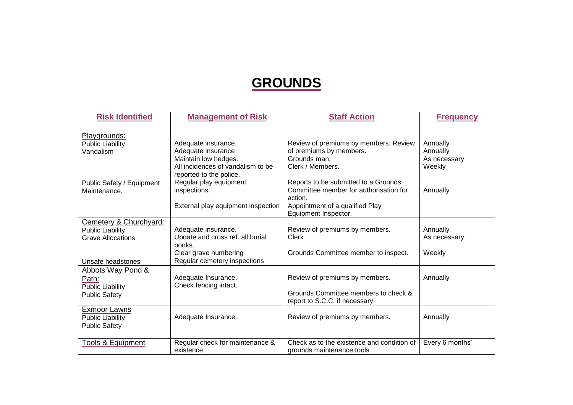#### **GROUNDS**

| <b>Risk Identified</b>                                                                             | <b>Management of Risk</b>                                                                                                  | <b>Staff Action</b>                                                                                                                                  | <b>Frequency</b>                               |
|----------------------------------------------------------------------------------------------------|----------------------------------------------------------------------------------------------------------------------------|------------------------------------------------------------------------------------------------------------------------------------------------------|------------------------------------------------|
| Playgrounds:<br><b>Public Liability</b><br>Vandalism                                               | Adequate insurance.<br>Adequate insurance<br>Maintain low hedges.<br>All incidences of vandalism to be                     | Review of premiums by members. Review<br>of premiums by members.<br>Grounds man.<br>Clerk / Members.                                                 | Annually<br>Annually<br>As necessary<br>Weekly |
| Public Safety / Equipment<br>Maintenance.                                                          | reported to the police.<br>Regular play equipment<br>inspections.<br>External play equipment inspection                    | Reports to be submitted to a Grounds<br>Committee member for authorisation for<br>action.<br>Appointment of a qualified Play<br>Equipment Inspector. | Annually                                       |
| Cemetery & Churchyard:<br><b>Public Liability</b><br><b>Grave Allocations</b><br>Unsafe headstones | Adequate insurance.<br>Update and cross ref. all burial<br>books.<br>Clear grave numbering<br>Regular cemetery inspections | Review of premiums by members.<br><b>Clerk</b><br>Grounds Committee member to inspect.                                                               | Annually<br>As necessary.<br>Weekly            |
| <b>Abbots Way Pond &amp;</b><br>Path:<br><b>Public Liability</b><br><b>Public Safety</b>           | Adequate Insurance.<br>Check fencing intact.                                                                               | Review of premiums by members.<br>Grounds Committee members to check &<br>report to S.C.C. if necessary.                                             | Annually                                       |
| <b>Exmoor Lawns</b><br><b>Public Liability</b><br><b>Public Safety</b>                             | Adequate Insurance.                                                                                                        | Review of premiums by members.                                                                                                                       | Annually                                       |
| <b>Tools &amp; Equipment</b>                                                                       | Regular check for maintenance &<br>existence.                                                                              | Check as to the existence and condition of<br>grounds maintenance tools                                                                              | Every 6 months'                                |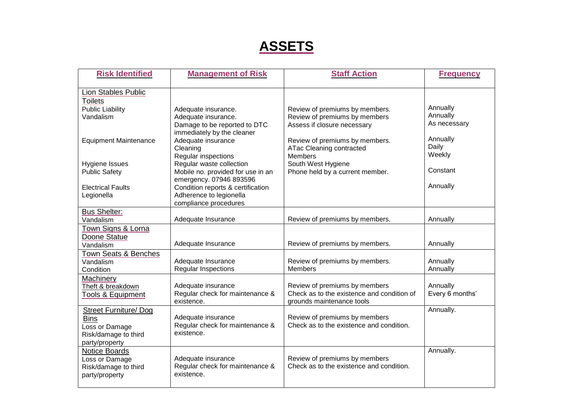### **ASSETS**

| <b>Risk Identified</b>                                                                                                                                                                                   | <b>Management of Risk</b>                                                                                                                                                                                                                                                                                                                              | <b>Staff Action</b>                                                                                                                                                                                                                     | <b>Frequency</b>                                                                            |
|----------------------------------------------------------------------------------------------------------------------------------------------------------------------------------------------------------|--------------------------------------------------------------------------------------------------------------------------------------------------------------------------------------------------------------------------------------------------------------------------------------------------------------------------------------------------------|-----------------------------------------------------------------------------------------------------------------------------------------------------------------------------------------------------------------------------------------|---------------------------------------------------------------------------------------------|
| <b>Lion Stables Public</b><br><b>Toilets</b><br><b>Public Liability</b><br>Vandalism<br><b>Equipment Maintenance</b><br>Hygiene Issues<br><b>Public Safety</b><br><b>Electrical Faults</b><br>Legionella | Adequate insurance.<br>Adequate insurance.<br>Damage to be reported to DTC<br>immediately by the cleaner<br>Adequate insurance<br>Cleaning<br>Regular inspections<br>Regular waste collection<br>Mobile no. provided for use in an<br>emergency. 07946 893596<br>Condition reports & certification<br>Adherence to legionella<br>compliance procedures | Review of premiums by members.<br>Review of premiums by members<br>Assess if closure necessary<br>Review of premiums by members.<br>ATac Cleaning contracted<br><b>Members</b><br>South West Hygiene<br>Phone held by a current member. | Annually<br>Annually<br>As necessary<br>Annually<br>Daily<br>Weekly<br>Constant<br>Annually |
| <b>Bus Shelter:</b><br>Vandalism                                                                                                                                                                         | Adequate Insurance                                                                                                                                                                                                                                                                                                                                     | Review of premiums by members.                                                                                                                                                                                                          | Annually                                                                                    |
| Town Signs & Lorna<br>Doone Statue<br>Vandalism<br><b>Town Seats &amp; Benches</b><br>Vandalism                                                                                                          | Adequate Insurance<br>Adequate Insurance<br>Regular Inspections                                                                                                                                                                                                                                                                                        | Review of premiums by members.<br>Review of premiums by members.<br><b>Members</b>                                                                                                                                                      | Annually<br>Annually<br>Annually                                                            |
| Condition<br>Machinery<br>Theft & breakdown<br><b>Tools &amp; Equipment</b>                                                                                                                              | Adequate insurance<br>Regular check for maintenance &<br>existence.                                                                                                                                                                                                                                                                                    | Review of premiums by members<br>Check as to the existence and condition of<br>grounds maintenance tools                                                                                                                                | Annually<br>Every 6 months'                                                                 |
| <b>Street Furniture/ Dog</b><br><b>Bins</b><br>Loss or Damage<br>Risk/damage to third<br>party/property                                                                                                  | Adequate insurance<br>Regular check for maintenance &<br>existence.                                                                                                                                                                                                                                                                                    | Review of premiums by members<br>Check as to the existence and condition.                                                                                                                                                               | Annually.                                                                                   |
| Notice Boards<br>Loss or Damage<br>Risk/damage to third<br>party/property                                                                                                                                | Adequate insurance<br>Regular check for maintenance &<br>existence.                                                                                                                                                                                                                                                                                    | Review of premiums by members<br>Check as to the existence and condition.                                                                                                                                                               | Annually.                                                                                   |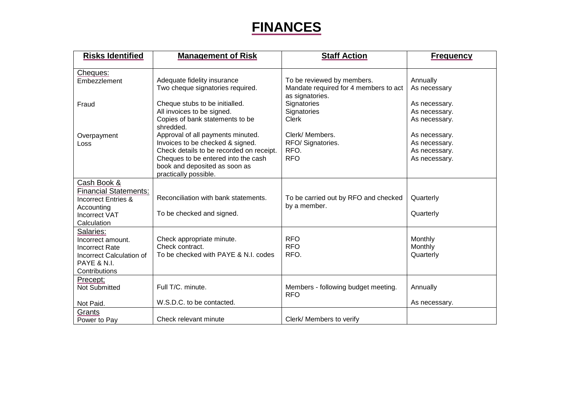#### **FINANCES**

| <b>Risks Identified</b>                                                                                                            | <b>Management of Risk</b>                                                                                                                                                                                          | <b>Staff Action</b>                                                                    | <b>Frequency</b>                                                 |
|------------------------------------------------------------------------------------------------------------------------------------|--------------------------------------------------------------------------------------------------------------------------------------------------------------------------------------------------------------------|----------------------------------------------------------------------------------------|------------------------------------------------------------------|
|                                                                                                                                    |                                                                                                                                                                                                                    |                                                                                        |                                                                  |
| Cheques:<br>Embezzlement                                                                                                           | Adequate fidelity insurance<br>Two cheque signatories required.                                                                                                                                                    | To be reviewed by members.<br>Mandate required for 4 members to act<br>as signatories. | Annually<br>As necessary                                         |
| Fraud                                                                                                                              | Cheque stubs to be initialled.<br>All invoices to be signed.<br>Copies of bank statements to be<br>shredded.                                                                                                       | Signatories<br>Signatories<br><b>Clerk</b>                                             | As necessary.<br>As necessary.<br>As necessary.                  |
| Overpayment<br>Loss                                                                                                                | Approval of all payments minuted.<br>Invoices to be checked & signed.<br>Check details to be recorded on receipt.<br>Cheques to be entered into the cash<br>book and deposited as soon as<br>practically possible. | Clerk/Members.<br>RFO/Signatories.<br>RFO.<br><b>RFO</b>                               | As necessary.<br>As necessary.<br>As necessary.<br>As necessary. |
| Cash Book &<br><b>Financial Statements:</b><br><b>Incorrect Entries &amp;</b><br>Accounting<br><b>Incorrect VAT</b><br>Calculation | Reconciliation with bank statements.<br>To be checked and signed.                                                                                                                                                  | To be carried out by RFO and checked<br>by a member.                                   | Quarterly<br>Quarterly                                           |
| Salaries:<br>Incorrect amount.<br><b>Incorrect Rate</b><br>Incorrect Calculation of<br><b>PAYE &amp; N.I.</b><br>Contributions     | Check appropriate minute.<br>Check contract.<br>To be checked with PAYE & N.I. codes                                                                                                                               | <b>RFO</b><br><b>RFO</b><br>RFO.                                                       | Monthly<br>Monthly<br>Quarterly                                  |
| Precept;<br><b>Not Submitted</b><br>Not Paid.                                                                                      | Full T/C. minute.<br>W.S.D.C. to be contacted.                                                                                                                                                                     | Members - following budget meeting.<br><b>RFO</b>                                      | Annually<br>As necessary.                                        |
| Grants<br>Power to Pay                                                                                                             | Check relevant minute                                                                                                                                                                                              | Clerk/ Members to verify                                                               |                                                                  |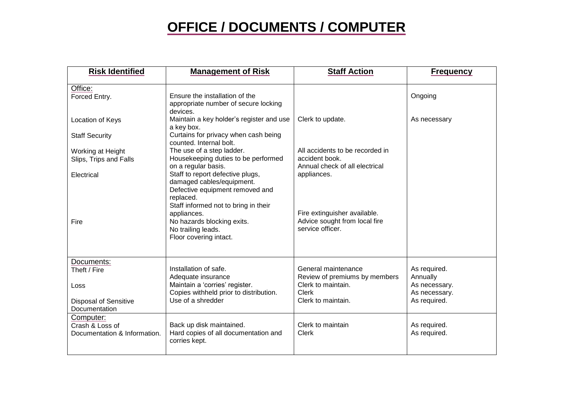#### **OFFICE / DOCUMENTS / COMPUTER**

| <b>Risk Identified</b>                                       | <b>Management of Risk</b>                                                                                                            | <b>Staff Action</b>                                                               | <b>Frequency</b>                           |
|--------------------------------------------------------------|--------------------------------------------------------------------------------------------------------------------------------------|-----------------------------------------------------------------------------------|--------------------------------------------|
| Office:<br>Forced Entry.                                     | Ensure the installation of the<br>appropriate number of secure locking<br>devices.                                                   |                                                                                   | Ongoing                                    |
| Location of Keys                                             | Maintain a key holder's register and use<br>a key box.                                                                               | Clerk to update.                                                                  | As necessary                               |
| <b>Staff Security</b>                                        | Curtains for privacy when cash being<br>counted. Internal bolt.                                                                      |                                                                                   |                                            |
| Working at Height<br>Slips, Trips and Falls                  | The use of a step ladder.<br>Housekeeping duties to be performed                                                                     | All accidents to be recorded in<br>accident book.                                 |                                            |
| Electrical                                                   | on a regular basis.<br>Staff to report defective plugs,<br>damaged cables/equipment.<br>Defective equipment removed and<br>replaced. | Annual check of all electrical<br>appliances.                                     |                                            |
| Fire                                                         | Staff informed not to bring in their<br>appliances.<br>No hazards blocking exits.<br>No trailing leads.<br>Floor covering intact.    | Fire extinguisher available.<br>Advice sought from local fire<br>service officer. |                                            |
| Documents:<br>Theft / Fire                                   | Installation of safe.<br>Adequate insurance                                                                                          | General maintenance                                                               | As required.                               |
| Loss                                                         | Maintain a 'corries' register.<br>Copies withheld prior to distribution.                                                             | Review of premiums by members<br>Clerk to maintain.<br><b>Clerk</b>               | Annually<br>As necessary.<br>As necessary. |
| <b>Disposal of Sensitive</b><br>Documentation                | Use of a shredder                                                                                                                    | Clerk to maintain.                                                                | As required.                               |
| Computer:<br>Crash & Loss of<br>Documentation & Information. | Back up disk maintained.<br>Hard copies of all documentation and<br>corries kept.                                                    | Clerk to maintain<br>Clerk                                                        | As required.<br>As required.               |